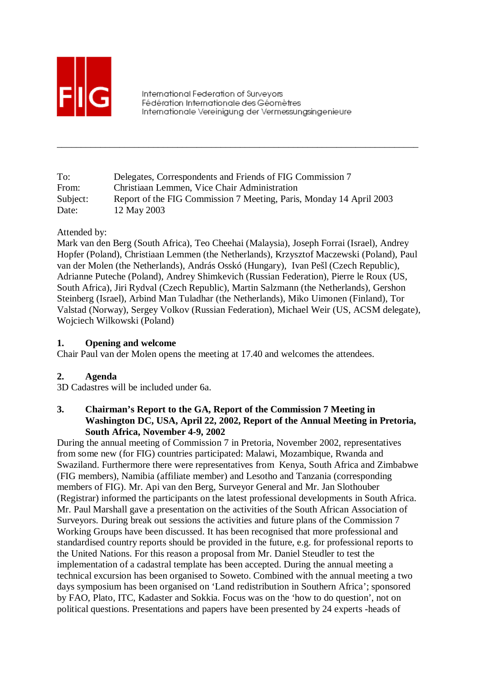

International Federation of Survevors Fédération Internationale des Géomètres Internationale Vereinigung der Vermessungsingenieure

\_\_\_\_\_\_\_\_\_\_\_\_\_\_\_\_\_\_\_\_\_\_\_\_\_\_\_\_\_\_\_\_\_\_\_\_\_\_\_\_\_\_\_\_\_\_\_\_\_\_\_\_\_\_\_\_\_\_\_\_\_\_\_\_\_\_\_\_\_\_\_\_\_\_\_

| To:      | Delegates, Correspondents and Friends of FIG Commission 7           |
|----------|---------------------------------------------------------------------|
| From:    | Christiaan Lemmen, Vice Chair Administration                        |
| Subject: | Report of the FIG Commission 7 Meeting, Paris, Monday 14 April 2003 |
| Date:    | 12 May 2003                                                         |

Attended by:

Mark van den Berg (South Africa), Teo Cheehai (Malaysia), Joseph Forrai (Israel), Andrey Hopfer (Poland), Christiaan Lemmen (the Netherlands), Krzysztof Maczewski (Poland), Paul van der Molen (the Netherlands), András Osskó (Hungary), Ivan Pešl (Czech Republic), Adrianne Puteche (Poland), Andrey Shimkevich (Russian Federation), Pierre le Roux (US, South Africa), Jiri Rydval (Czech Republic), Martin Salzmann (the Netherlands), Gershon Steinberg (Israel), Arbind Man Tuladhar (the Netherlands), Miko Uimonen (Finland), Tor Valstad (Norway), Sergey Volkov (Russian Federation), Michael Weir (US, ACSM delegate), Wojciech Wilkowski (Poland)

### **1. Opening and welcome**

Chair Paul van der Molen opens the meeting at 17.40 and welcomes the attendees.

### **2. Agenda**

3D Cadastres will be included under 6a.

### **3. Chairman's Report to the GA, Report of the Commission 7 Meeting in Washington DC, USA, April 22, 2002, Report of the Annual Meeting in Pretoria, South Africa, November 4-9, 2002**

During the annual meeting of Commission 7 in Pretoria, November 2002, representatives from some new (for FIG) countries participated: Malawi, Mozambique, Rwanda and Swaziland. Furthermore there were representatives from Kenya, South Africa and Zimbabwe (FIG members), Namibia (affiliate member) and Lesotho and Tanzania (corresponding members of FIG). Mr. Api van den Berg, Surveyor General and Mr. Jan Slothouber (Registrar) informed the participants on the latest professional developments in South Africa. Mr. Paul Marshall gave a presentation on the activities of the South African Association of Surveyors. During break out sessions the activities and future plans of the Commission 7 Working Groups have been discussed. It has been recognised that more professional and standardised country reports should be provided in the future, e.g. for professional reports to the United Nations. For this reason a proposal from Mr. Daniel Steudler to test the implementation of a cadastral template has been accepted. During the annual meeting a technical excursion has been organised to Soweto. Combined with the annual meeting a two days symposium has been organised on 'Land redistribution in Southern Africa'; sponsored by FAO, Plato, ITC, Kadaster and Sokkia. Focus was on the 'how to do question', not on political questions. Presentations and papers have been presented by 24 experts -heads of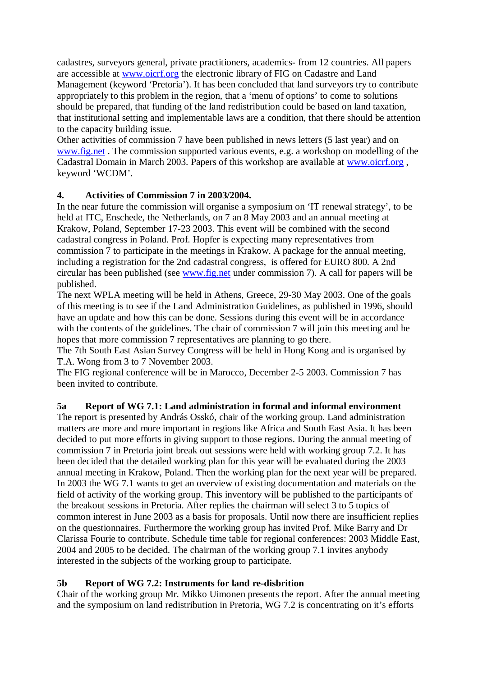cadastres, surveyors general, private practitioners, academics- from 12 countries. All papers are accessible at www.oicrf.org the electronic library of FIG on Cadastre and Land Management (keyword 'Pretoria'). It has been concluded that land surveyors try to contribute appropriately to this problem in the region, that a 'menu of options' to come to solutions should be prepared, that funding of the land redistribution could be based on land taxation, that institutional setting and implementable laws are a condition, that there should be attention to the capacity building issue.

Other activities of commission 7 have been published in news letters (5 last year) and on www.fig.net . The commission supported various events, e.g. a workshop on modelling of the Cadastral Domain in March 2003. Papers of this workshop are available at www.oicrf.org , keyword 'WCDM'.

## **4. Activities of Commission 7 in 2003/2004.**

In the near future the commission will organise a symposium on 'IT renewal strategy', to be held at ITC, Enschede, the Netherlands, on 7 an 8 May 2003 and an annual meeting at Krakow, Poland, September 17-23 2003. This event will be combined with the second cadastral congress in Poland. Prof. Hopfer is expecting many representatives from commission 7 to participate in the meetings in Krakow. A package for the annual meeting, including a registration for the 2nd cadastral congress, is offered for EURO 800. A 2nd circular has been published (see www.fig.net under commission 7). A call for papers will be published.

The next WPLA meeting will be held in Athens, Greece, 29-30 May 2003. One of the goals of this meeting is to see if the Land Administration Guidelines, as published in 1996, should have an update and how this can be done. Sessions during this event will be in accordance with the contents of the guidelines. The chair of commission 7 will join this meeting and he hopes that more commission 7 representatives are planning to go there.

The 7th South East Asian Survey Congress will be held in Hong Kong and is organised by T.A. Wong from 3 to 7 November 2003.

The FIG regional conference will be in Marocco, December 2-5 2003. Commission 7 has been invited to contribute.

# **5a Report of WG 7.1: Land administration in formal and informal environment**

The report is presented by András Osskó, chair of the working group. Land administration matters are more and more important in regions like Africa and South East Asia. It has been decided to put more efforts in giving support to those regions. During the annual meeting of commission 7 in Pretoria joint break out sessions were held with working group 7.2. It has been decided that the detailed working plan for this year will be evaluated during the 2003 annual meeting in Krakow, Poland. Then the working plan for the next year will be prepared. In 2003 the WG 7.1 wants to get an overview of existing documentation and materials on the field of activity of the working group. This inventory will be published to the participants of the breakout sessions in Pretoria. After replies the chairman will select 3 to 5 topics of common interest in June 2003 as a basis for proposals. Until now there are insufficient replies on the questionnaires. Furthermore the working group has invited Prof. Mike Barry and Dr Clarissa Fourie to contribute. Schedule time table for regional conferences: 2003 Middle East, 2004 and 2005 to be decided. The chairman of the working group 7.1 invites anybody interested in the subjects of the working group to participate.

### **5b Report of WG 7.2: Instruments for land re-disbrition**

Chair of the working group Mr. Mikko Uimonen presents the report. After the annual meeting and the symposium on land redistribution in Pretoria, WG 7.2 is concentrating on it's efforts